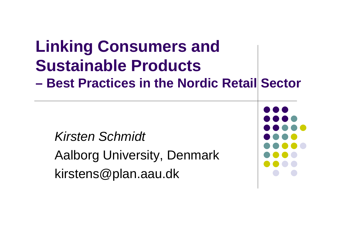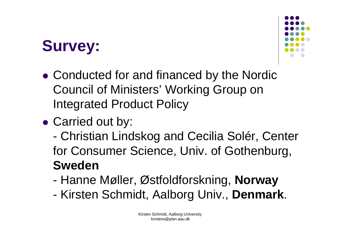## **Survey:**



- Conducted for and financed by the Nordic Council of Ministers' Working Group on Integrated Product Policy
- Carried out by:
	- Christian Lindskog and Cecilia Solér, Center for Consumer Science, Univ. of Gothenburg, **Sweden**
	- Hanne Møller, Østfoldforskning, **Norway**
	- Kirsten Schmidt, Aalborg Univ., **Denmark**.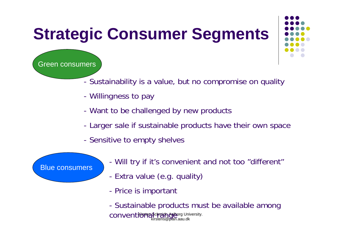# **Strategic Consumer Segments**

Green consumers

- Sustainability is a value, but no compromise on quality
- -Willingness to pay
- -Want to be challenged by new products
- -Larger sale if sustainable products have their own space
- -- Sensitive to empty shelves
	- Will try if it's convenient and not too "different"
	- -Extra value (e.g. quality)
	- -- Price is important

CONVentional Computer Order University. kirstens@plan.aau.dk - Sustainable products must be available among

#### Blue consumers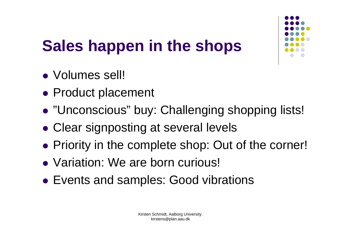

# **Sales happen in the shops**

- Volumes sell!
- Product placement
- $\bullet$ "Unconscious" buy: Challenging shopping lists!
- $\bullet$ Clear signposting at several levels
- Priority in the complete shop: Out of the corner!
- Variation: We are born curious!
- Events and samples: Good vibrations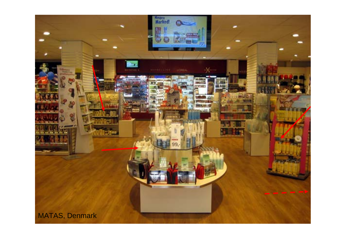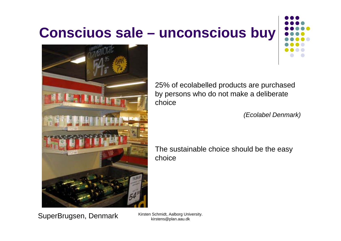### **Consciuos sale – unconscious buy**





25% of ecolabelled products are purchased by persons who do not make a deliberate choice

*(Ecolabel Denmark)*

The sustainable choice should be the easy choice

SuperBrugsen, Denmark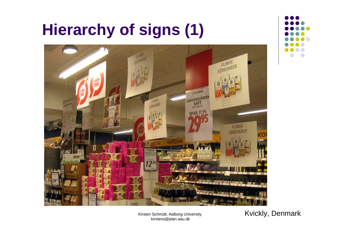### **Hierarchy of signs (1)**





Kirsten Schmidt, Aalborg University. kirstens@plan.aau.dk

Kvickly, Denmark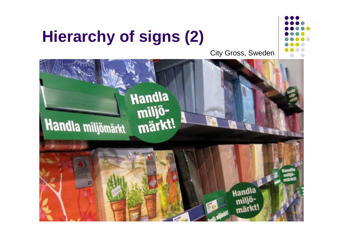### **Hierarchy of signs (2)**



City Gross, Sweden

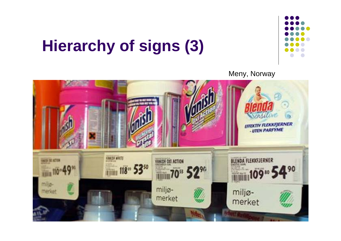## **Hierarchy of signs (3)**



Meny, Norway

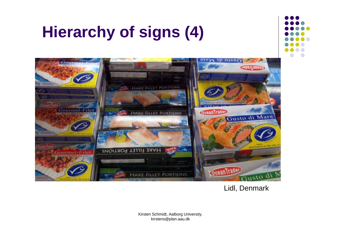### **Hierarchy of signs (4)**





#### Lidl, Denmark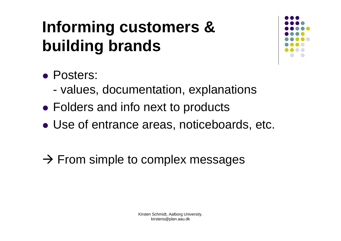## **Informing customers & building brands**



- Posters:
	- values, documentation, explanations
- Folders and info next to products
- Use of entrance areas, noticeboards, etc.
- $\rightarrow$  From simple to complex messages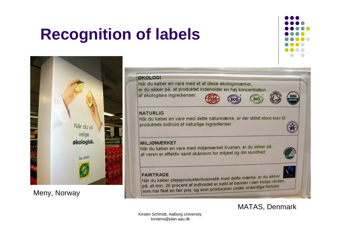### **Recognition of labels**





Meny, Norway

#### **ØKOLOGI**

Når du køber en vare med et af disse økologimærker. er du sikker på, at produktet indeholder en høj koncentration

af økologiske ingredienser:

![](_page_11_Picture_7.jpeg)

![](_page_11_Picture_8.jpeg)

![](_page_11_Picture_9.jpeg)

#### **NATURLIG**

Når du køber en vare med dette naturmærke, er der stillet store krav til produktets indhold af naturlige ingredienser:

#### **MILJØMÆRKET**

Når du køber en vare med miljømærket Svanen, er du sikker på, at varen er effektiv samt skånsom for miljøet og din sundhed:

#### **FAIRTRADE**

FAIRTRADE<br>Når du køber plejeprodukter/kosmetik med dette mærke, er du sikker Når du køber plejeprodukter/kosmetik med dette mæner.<br>på, at min. 20 procent af indholdet er købt af bønder i den tredje verden, på, at min. 20 procent af indholdet er købt af bøhder rednessen.<br>som har fået en fair pris, og som producerer under ordentlige forhold.

MATAS, Denmark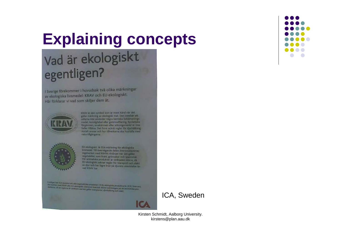### **Explaining concepts**

### Vad är ekologiskt egentligen?

I Sverige förekommer i huvudsak två olika märkningar av ekologiska livsmedel: KRAV och EU-ekologiskt. Här förklarar vi vad som skiljer dem åt.

![](_page_12_Picture_3.jpeg)

KRAV ar den symbol som är mest känd när det gäller märkning av ekologisk mat. Den innebär att oillama inte använder några kemiska bekämpnings medel, konstgödsel eller genmodifiering. Syntetiska färgämnen, smakämnen eller sötningsmedel är inte heller tillätna. Det finns också regler för djurhållning. socialt answar och hur tillverkarna ska hushålla med ruturtiligångurna.

![](_page_12_Picture_5.jpeg)

EU siniognist ar EUs märkning för ekologiska livsmedel. Till övervägande delen överensstämmer. reguleerket med KRAVs rüctlinjer när det gäller vegetabilier, som frukt, grönsaker och spannmål. För animaliska produkter är skillnaden större, då IU-ekologiskt sakrur regler för transport och slakt av djur och har lägre krav på djurens utevistelse än **Vad KRAV Har** 

I rodayet hor ICA bestämt att sille lage tabiliska produkter i ICAs skologiska produktaerie. ICA I kom nos.<br>Ida makket med KRAV eller EU skologiskt. Odramat koartele KRAV mål tampen på de anamaliska pro<br>Ilufterne, all de r

![](_page_12_Picture_8.jpeg)

ICA, Sweden

![](_page_12_Figure_11.jpeg)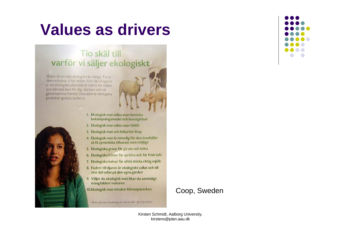### **Values as drivers**

#### Tio skäl till varför vi säljer ekologiskt

Skälen till att välja ekologiskt är många. Tio av dem redovisar vi här nedan. Men de viktigaste är att ekologiska alternativ är bättre för miljön och därmed även för dig, alla barn och vår gemensamma framtid. Dessutom är ekologiska produkter godare, tycker vi.

![](_page_13_Picture_3.jpeg)

- 1. Ekologisk mat odlas utan kemiska bekämpningsmedel och konstgödsel
- 2. Ekologisk mat odlas utan GMO
- 3. Ekologisk mat och hälsa hör ihop
- 4. Ekologisk mat är naturlig för den innehåller så få syntetiska tillsatser som möjligt
- 5. Ekologiska grisar får gå ute och böka
- 6. Ekologiska hönor får sprätta och får frisk luft
- 7. Ekologiska kalvar får alltid dricka riktig mjölk
- 8. Fodret till djuren är ekologiskt odlat och till stor del odlat på den egna gården
- 9. Väljer du ekologisk mat ökar du samtidigt mångfalden i naturen
- 10. Ekologisk mat minskar klimatpåverkan

Vill du veta mer om ekologi och vära tio skäl - gå in på mogua-

#### Coop, Sweden

![](_page_13_Figure_17.jpeg)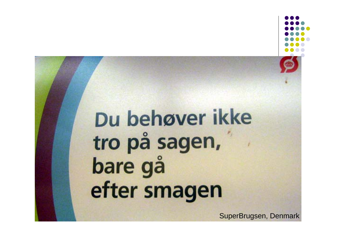# Du behøver ikke tro på sagen, bare gå efter smagen

SuperBrugsen, Denmark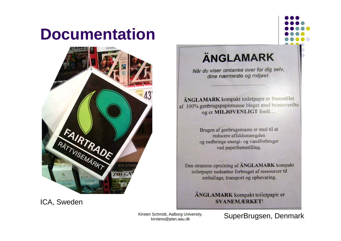### **Documentation**

![](_page_15_Picture_1.jpeg)

ICA, Sweden

### **ÄNGLAMARK**

Når du viser omtanke over for dig selv, dine nærmeste og miljøet.

ÄNGLAMARK kompakt toiletpapir er fremstillet af 100% genbrugspapirmasse bleget med brintoverilte og er MILJØVENLIGT fordi...

> Brugen af genbrugsmasse er med til at reducere affaldsmængden og nedbringe energi- og vandforbruget ved papirfremstilling.

Den stramme oprulning af ÄNGLAMARK kompakt toiletpapir nedsætter forbruget af ressourcer til emballage, transport og opbevaring.

ÄNGLAMARK kompakt toiletpapir er **SVANEMÆRKET!** 

Kirsten Schmidt, Aalborg University. kirstens@plan.aau.dk

SuperBrugsen, Denmark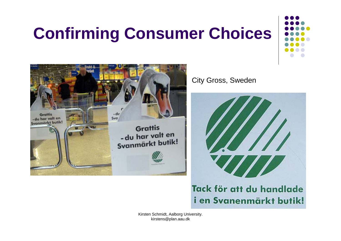# **Confirming Consumer Choices**

![](_page_16_Picture_1.jpeg)

City Gross, Sweden

![](_page_16_Picture_3.jpeg)

### Tack för att du handlade i en Svanenmärkt butik!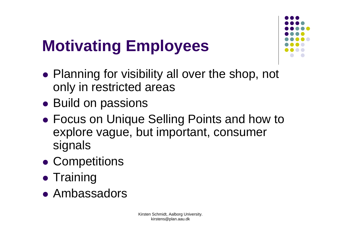# **Motivating Employees**

![](_page_17_Figure_1.jpeg)

- Planning for visibility all over the shop, not only in restricted areas
- Build on passions
- $\bullet$  Focus on Unique Selling Points and how to explore vague, but important, consumer signals
- **Competitions**
- Training
- Ambassadors